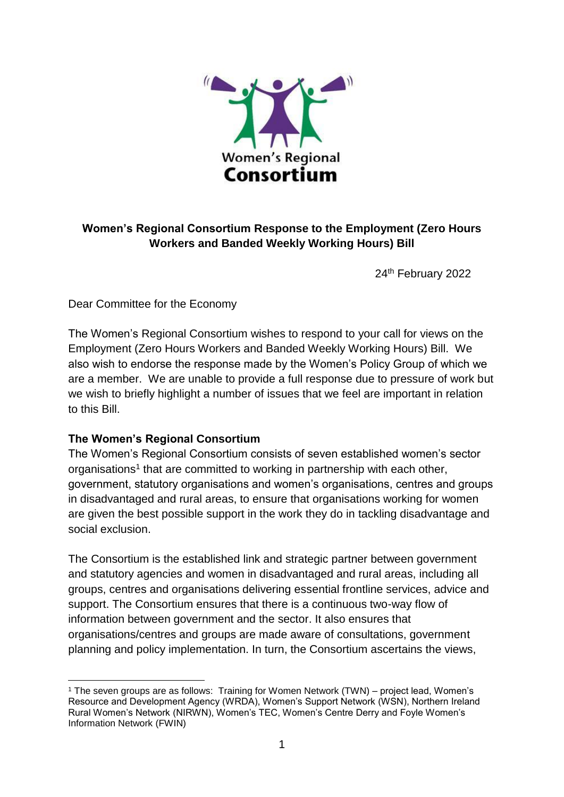

# **Women's Regional Consortium Response to the Employment (Zero Hours Workers and Banded Weekly Working Hours) Bill**

24<sup>th</sup> February 2022

Dear Committee for the Economy

The Women's Regional Consortium wishes to respond to your call for views on the Employment (Zero Hours Workers and Banded Weekly Working Hours) Bill. We also wish to endorse the response made by the Women's Policy Group of which we are a member. We are unable to provide a full response due to pressure of work but we wish to briefly highlight a number of issues that we feel are important in relation to this Bill.

## **The Women's Regional Consortium**

The Women's Regional Consortium consists of seven established women's sector organisations<sup>1</sup> that are committed to working in partnership with each other, government, statutory organisations and women's organisations, centres and groups in disadvantaged and rural areas, to ensure that organisations working for women are given the best possible support in the work they do in tackling disadvantage and social exclusion.

The Consortium is the established link and strategic partner between government and statutory agencies and women in disadvantaged and rural areas, including all groups, centres and organisations delivering essential frontline services, advice and support. The Consortium ensures that there is a continuous two-way flow of information between government and the sector. It also ensures that organisations/centres and groups are made aware of consultations, government planning and policy implementation. In turn, the Consortium ascertains the views,

**<sup>.</sup>** <sup>1</sup> The seven groups are as follows: Training for Women Network (TWN) – project lead, Women's Resource and Development Agency (WRDA), Women's Support Network (WSN), Northern Ireland Rural Women's Network (NIRWN), Women's TEC, Women's Centre Derry and Foyle Women's Information Network (FWIN)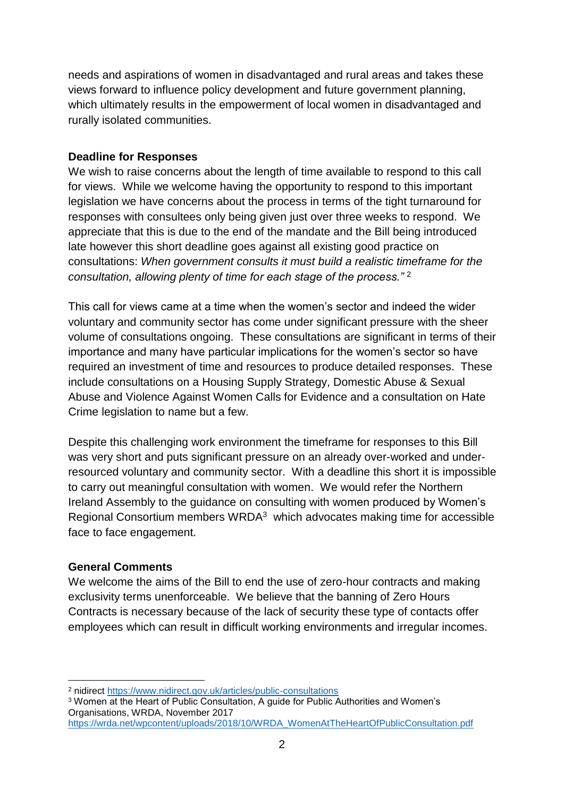needs and aspirations of women in disadvantaged and rural areas and takes these views forward to influence policy development and future government planning, which ultimately results in the empowerment of local women in disadvantaged and rurally isolated communities.

#### **Deadline for Responses**

We wish to raise concerns about the length of time available to respond to this call for views. While we welcome having the opportunity to respond to this important legislation we have concerns about the process in terms of the tight turnaround for responses with consultees only being given just over three weeks to respond. We appreciate that this is due to the end of the mandate and the Bill being introduced late however this short deadline goes against all existing good practice on consultations: *When government consults it must build a realistic timeframe for the consultation, allowing plenty of time for each stage of the process."* <sup>2</sup>

This call for views came at a time when the women's sector and indeed the wider voluntary and community sector has come under significant pressure with the sheer volume of consultations ongoing. These consultations are significant in terms of their importance and many have particular implications for the women's sector so have required an investment of time and resources to produce detailed responses. These include consultations on a Housing Supply Strategy, Domestic Abuse & Sexual Abuse and Violence Against Women Calls for Evidence and a consultation on Hate Crime legislation to name but a few.

Despite this challenging work environment the timeframe for responses to this Bill was very short and puts significant pressure on an already over-worked and underresourced voluntary and community sector. With a deadline this short it is impossible to carry out meaningful consultation with women. We would refer the Northern Ireland Assembly to the guidance on consulting with women produced by Women's Regional Consortium members WRDA<sup>3</sup> which advocates making time for accessible face to face engagement.

### **General Comments**

**.** 

We welcome the aims of the Bill to end the use of zero-hour contracts and making exclusivity terms unenforceable. We believe that the banning of Zero Hours Contracts is necessary because of the lack of security these type of contacts offer employees which can result in difficult working environments and irregular incomes.

<sup>3</sup> Women at the Heart of Public Consultation, A guide for Public Authorities and Women's Organisations, WRDA, November 2017

<sup>2</sup> nidirect<https://www.nidirect.gov.uk/articles/public-consultations>

[https://wrda.net/wpcontent/uploads/2018/10/WRDA\\_WomenAtTheHeartOfPublicConsultation.pdf](https://wrda.net/wpcontent/uploads/2018/10/WRDA_WomenAtTheHeartOfPublicConsultation.pdf)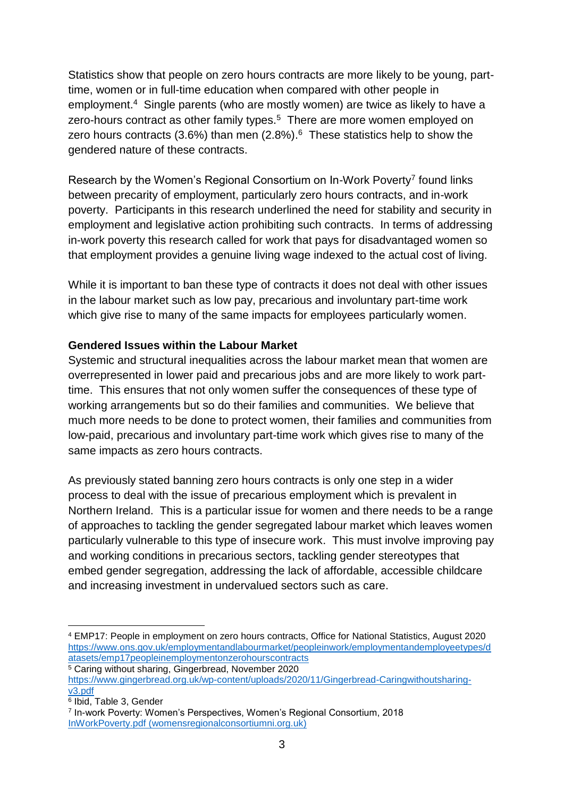Statistics show that people on zero hours contracts are more likely to be young, parttime, women or in full-time education when compared with other people in employment.<sup>4</sup> Single parents (who are mostly women) are twice as likely to have a zero-hours contract as other family types. $5$  There are more women employed on zero hours contracts (3.6%) than men (2.8%). $6$  These statistics help to show the gendered nature of these contracts.

Research by the Women's Regional Consortium on In-Work Poverty<sup>7</sup> found links between precarity of employment, particularly zero hours contracts, and in-work poverty. Participants in this research underlined the need for stability and security in employment and legislative action prohibiting such contracts. In terms of addressing in-work poverty this research called for work that pays for disadvantaged women so that employment provides a genuine living wage indexed to the actual cost of living.

While it is important to ban these type of contracts it does not deal with other issues in the labour market such as low pay, precarious and involuntary part-time work which give rise to many of the same impacts for employees particularly women.

### **Gendered Issues within the Labour Market**

Systemic and structural inequalities across the labour market mean that women are overrepresented in lower paid and precarious jobs and are more likely to work parttime. This ensures that not only women suffer the consequences of these type of working arrangements but so do their families and communities. We believe that much more needs to be done to protect women, their families and communities from low-paid, precarious and involuntary part-time work which gives rise to many of the same impacts as zero hours contracts.

As previously stated banning zero hours contracts is only one step in a wider process to deal with the issue of precarious employment which is prevalent in Northern Ireland. This is a particular issue for women and there needs to be a range of approaches to tackling the gender segregated labour market which leaves women particularly vulnerable to this type of insecure work. This must involve improving pay and working conditions in precarious sectors, tackling gender stereotypes that embed gender segregation, addressing the lack of affordable, accessible childcare and increasing investment in undervalued sectors such as care.

 $\overline{a}$ <sup>4</sup> EMP17: People in employment on zero hours contracts, Office for National Statistics, August 2020 [https://www.ons.gov.uk/employmentandlabourmarket/peopleinwork/employmentandemployeetypes/d](https://www.ons.gov.uk/employmentandlabourmarket/peopleinwork/employmentandemployeetypes/datasets/emp17peopleinemploymentonzerohourscontracts) [atasets/emp17peopleinemploymentonzerohourscontracts](https://www.ons.gov.uk/employmentandlabourmarket/peopleinwork/employmentandemployeetypes/datasets/emp17peopleinemploymentonzerohourscontracts)

<sup>&</sup>lt;sup>5</sup> Caring without sharing, Gingerbread, November 2020

[https://www.gingerbread.org.uk/wp-content/uploads/2020/11/Gingerbread-Caringwithoutsharing](https://www.gingerbread.org.uk/wp-content/uploads/2020/11/Gingerbread-Caringwithoutsharing-v3.pdf)[v3.pdf](https://www.gingerbread.org.uk/wp-content/uploads/2020/11/Gingerbread-Caringwithoutsharing-v3.pdf)

<sup>6</sup> Ibid, Table 3, Gender

<sup>7</sup> In-work Poverty: Women's Perspectives, Women's Regional Consortium, 2018 [InWorkPoverty.pdf \(womensregionalconsortiumni.org.uk\)](http://www.womensregionalconsortiumni.org.uk/sites/default/files/InWorkPoverty.pdf)